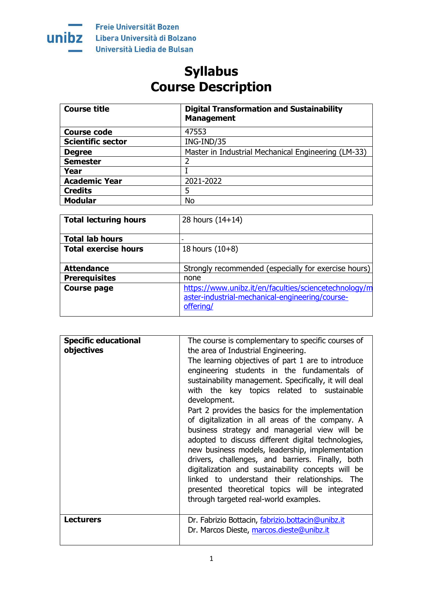

Freie Universität Bozen Libera Università di Bolzano Università Liedia de Bulsan

## **Syllabus Course Description**

| <b>Course title</b>      | <b>Digital Transformation and Sustainability</b><br><b>Management</b> |
|--------------------------|-----------------------------------------------------------------------|
| <b>Course code</b>       | 47553                                                                 |
| <b>Scientific sector</b> | ING-IND/35                                                            |
| <b>Degree</b>            | Master in Industrial Mechanical Engineering (LM-33)                   |
| <b>Semester</b>          | 2                                                                     |
| Year                     |                                                                       |
| <b>Academic Year</b>     | 2021-2022                                                             |
| <b>Credits</b>           | 5                                                                     |
| <b>Modular</b>           | No                                                                    |

| <b>Total lecturing hours</b> | 28 hours $(14+14)$                                                                                                    |
|------------------------------|-----------------------------------------------------------------------------------------------------------------------|
| <b>Total lab hours</b>       |                                                                                                                       |
| <b>Total exercise hours</b>  | 18 hours $(10+8)$                                                                                                     |
|                              |                                                                                                                       |
| <b>Attendance</b>            | Strongly recommended (especially for exercise hours)                                                                  |
| <b>Prerequisites</b>         | none                                                                                                                  |
| <b>Course page</b>           | https://www.unibz.it/en/faculties/sciencetechnology/m<br>aster-industrial-mechanical-engineering/course-<br>offering/ |

| <b>Specific educational</b><br>objectives | The course is complementary to specific courses of<br>the area of Industrial Engineering.<br>The learning objectives of part 1 are to introduce<br>engineering students in the fundamentals of<br>sustainability management. Specifically, it will deal<br>with the key topics related to sustainable<br>development.                                                                                                                                                                                                  |
|-------------------------------------------|------------------------------------------------------------------------------------------------------------------------------------------------------------------------------------------------------------------------------------------------------------------------------------------------------------------------------------------------------------------------------------------------------------------------------------------------------------------------------------------------------------------------|
|                                           | Part 2 provides the basics for the implementation<br>of digitalization in all areas of the company. A<br>business strategy and managerial view will be<br>adopted to discuss different digital technologies,<br>new business models, leadership, implementation<br>drivers, challenges, and barriers. Finally, both<br>digitalization and sustainability concepts will be<br>linked to understand their relationships. The<br>presented theoretical topics will be integrated<br>through targeted real-world examples. |
| <b>Lecturers</b>                          | Dr. Fabrizio Bottacin, fabrizio.bottacin@unibz.it<br>Dr. Marcos Dieste, marcos.dieste@unibz.it                                                                                                                                                                                                                                                                                                                                                                                                                         |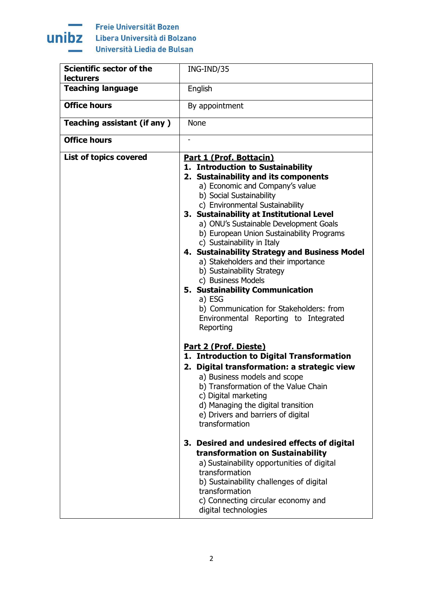

Freie Universität Bozen Libera Università di Bolzano Università Liedia de Bulsan

| Scientific sector of the<br><b>lecturers</b> | ING-IND/35                                                                                                                                                                                                                                                                                                                                                                                                                                                                                                                                                                                                                                                         |
|----------------------------------------------|--------------------------------------------------------------------------------------------------------------------------------------------------------------------------------------------------------------------------------------------------------------------------------------------------------------------------------------------------------------------------------------------------------------------------------------------------------------------------------------------------------------------------------------------------------------------------------------------------------------------------------------------------------------------|
| <b>Teaching language</b>                     | English                                                                                                                                                                                                                                                                                                                                                                                                                                                                                                                                                                                                                                                            |
| <b>Office hours</b>                          | By appointment                                                                                                                                                                                                                                                                                                                                                                                                                                                                                                                                                                                                                                                     |
| Teaching assistant (if any)                  | <b>None</b>                                                                                                                                                                                                                                                                                                                                                                                                                                                                                                                                                                                                                                                        |
| <b>Office hours</b>                          |                                                                                                                                                                                                                                                                                                                                                                                                                                                                                                                                                                                                                                                                    |
| List of topics covered                       | Part 1 (Prof. Bottacin)<br>1. Introduction to Sustainability<br>2. Sustainability and its components<br>a) Economic and Company's value<br>b) Social Sustainability<br>c) Environmental Sustainability<br>3. Sustainability at Institutional Level<br>a) ONU's Sustainable Development Goals<br>b) European Union Sustainability Programs<br>c) Sustainability in Italy<br>4. Sustainability Strategy and Business Model<br>a) Stakeholders and their importance<br>b) Sustainability Strategy<br>c) Business Models<br>5. Sustainability Communication<br>a) ESG<br>b) Communication for Stakeholders: from<br>Environmental Reporting to Integrated<br>Reporting |
|                                              | Part 2 (Prof. Dieste)<br>1. Introduction to Digital Transformation<br>2. Digital transformation: a strategic view<br>a) Business models and scope<br>b) Transformation of the Value Chain<br>c) Digital marketing<br>d) Managing the digital transition<br>e) Drivers and barriers of digital<br>transformation<br>3. Desired and undesired effects of digital<br>transformation on Sustainability<br>a) Sustainability opportunities of digital<br>transformation<br>b) Sustainability challenges of digital<br>transformation<br>c) Connecting circular economy and<br>digital technologies                                                                      |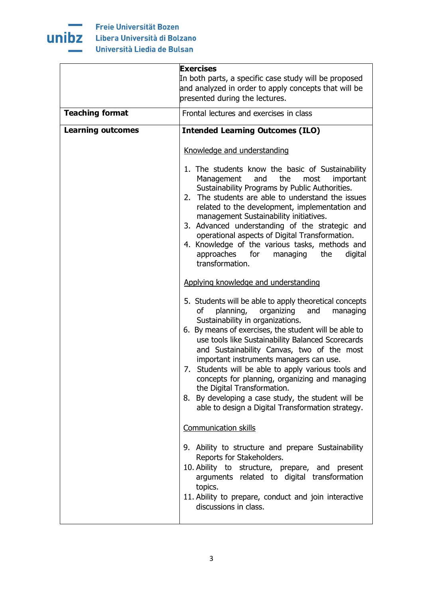

|                          | <b>Exercises</b><br>In both parts, a specific case study will be proposed<br>and analyzed in order to apply concepts that will be                                                                                                                                                                                                                                                                                                                                                                                                                                                                                                                                                                                                                                                                                                                                                                                                                                                                                                                                                                                                                                                                             |  |
|--------------------------|---------------------------------------------------------------------------------------------------------------------------------------------------------------------------------------------------------------------------------------------------------------------------------------------------------------------------------------------------------------------------------------------------------------------------------------------------------------------------------------------------------------------------------------------------------------------------------------------------------------------------------------------------------------------------------------------------------------------------------------------------------------------------------------------------------------------------------------------------------------------------------------------------------------------------------------------------------------------------------------------------------------------------------------------------------------------------------------------------------------------------------------------------------------------------------------------------------------|--|
|                          | presented during the lectures.                                                                                                                                                                                                                                                                                                                                                                                                                                                                                                                                                                                                                                                                                                                                                                                                                                                                                                                                                                                                                                                                                                                                                                                |  |
| <b>Teaching format</b>   | Frontal lectures and exercises in class                                                                                                                                                                                                                                                                                                                                                                                                                                                                                                                                                                                                                                                                                                                                                                                                                                                                                                                                                                                                                                                                                                                                                                       |  |
| <b>Learning outcomes</b> | <b>Intended Learning Outcomes (ILO)</b>                                                                                                                                                                                                                                                                                                                                                                                                                                                                                                                                                                                                                                                                                                                                                                                                                                                                                                                                                                                                                                                                                                                                                                       |  |
|                          | Knowledge and understanding<br>1. The students know the basic of Sustainability<br>Management<br>and<br>the<br>most<br>important<br>Sustainability Programs by Public Authorities.<br>2. The students are able to understand the issues<br>related to the development, implementation and<br>management Sustainability initiatives.<br>3. Advanced understanding of the strategic and<br>operational aspects of Digital Transformation.<br>4. Knowledge of the various tasks, methods and<br>approaches for<br>managing the<br>digital<br>transformation.<br>Applying knowledge and understanding<br>5. Students will be able to apply theoretical concepts<br>planning,<br>organizing<br>and<br>managing<br>of<br>Sustainability in organizations.<br>6. By means of exercises, the student will be able to<br>use tools like Sustainability Balanced Scorecards<br>and Sustainability Canvas, two of the most<br>important instruments managers can use.<br>7. Students will be able to apply various tools and<br>concepts for planning, organizing and managing<br>the Digital Transformation.<br>8. By developing a case study, the student will be<br>able to design a Digital Transformation strategy. |  |
|                          | <b>Communication skills</b>                                                                                                                                                                                                                                                                                                                                                                                                                                                                                                                                                                                                                                                                                                                                                                                                                                                                                                                                                                                                                                                                                                                                                                                   |  |
|                          | 9. Ability to structure and prepare Sustainability<br>Reports for Stakeholders.<br>10. Ability to structure, prepare, and<br>present<br>arguments related to digital transformation<br>topics.<br>11. Ability to prepare, conduct and join interactive<br>discussions in class.                                                                                                                                                                                                                                                                                                                                                                                                                                                                                                                                                                                                                                                                                                                                                                                                                                                                                                                               |  |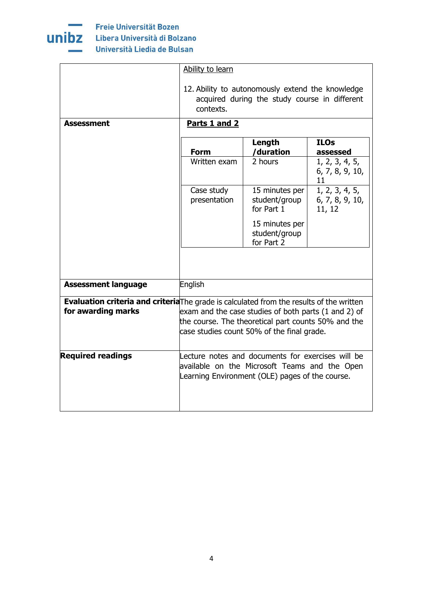

|                            | Ability to learn                                                                                                                                                                                                                                             |                                                                                                   |                                             |
|----------------------------|--------------------------------------------------------------------------------------------------------------------------------------------------------------------------------------------------------------------------------------------------------------|---------------------------------------------------------------------------------------------------|---------------------------------------------|
|                            | contexts.                                                                                                                                                                                                                                                    | 12. Ability to autonomously extend the knowledge<br>acquired during the study course in different |                                             |
| <b>Assessment</b>          | Parts 1 and 2                                                                                                                                                                                                                                                |                                                                                                   |                                             |
|                            | <b>Form</b>                                                                                                                                                                                                                                                  | Length<br>/duration                                                                               | <b>ILOs</b><br>assessed                     |
|                            | Written exam                                                                                                                                                                                                                                                 | 2 hours                                                                                           | 1, 2, 3, 4, 5,<br>6, 7, 8, 9, 10,<br>11     |
|                            | Case study<br>presentation                                                                                                                                                                                                                                   | 15 minutes per<br>student/group<br>for Part 1                                                     | 1, 2, 3, 4, 5,<br>6, 7, 8, 9, 10,<br>11, 12 |
|                            |                                                                                                                                                                                                                                                              | 15 minutes per<br>student/group<br>for Part 2                                                     |                                             |
|                            |                                                                                                                                                                                                                                                              |                                                                                                   |                                             |
| <b>Assessment language</b> | English                                                                                                                                                                                                                                                      |                                                                                                   |                                             |
| for awarding marks         | <b>Evaluation criteria and criteria</b> The grade is calculated from the results of the written<br>exam and the case studies of both parts (1 and 2) of<br>the course. The theoretical part counts 50% and the<br>case studies count 50% of the final grade. |                                                                                                   |                                             |
| <b>Required readings</b>   | available on the Microsoft Teams and the Open<br>Learning Environment (OLE) pages of the course.                                                                                                                                                             | Lecture notes and documents for exercises will be                                                 |                                             |